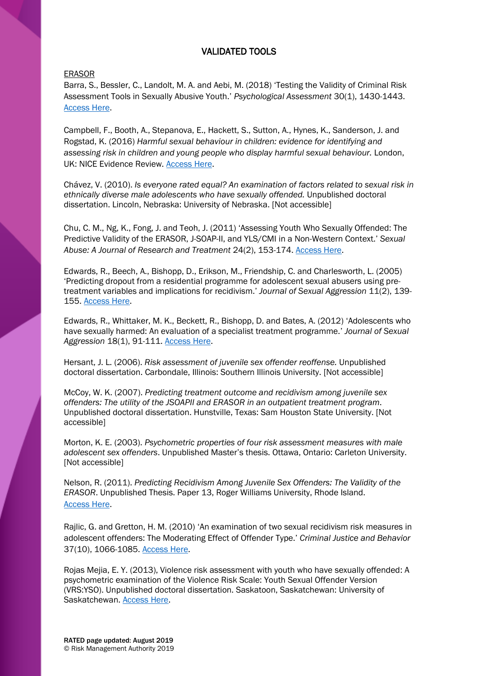# VALIDATED TOOLS

# ERASOR

Barra, S., Bessler, C., Landolt, M. A. and Aebi, M. (2018) 'Testing the Validity of Criminal Risk Assessment Tools in Sexually Abusive Youth.' *Psychological Assessment* 30(1), 1430-1443. [Access Here.](https://psycnet.apa.org/record/2018-24448-001)

Campbell, F., Booth, A., Stepanova, E., Hackett, S., Sutton, A., Hynes, K., Sanderson, J. and Rogstad, K. (2016) *Harmful sexual behaviour in children: evidence for identifying and*  assessing risk in children and young people who display harmful sexual behaviour. London, UK: NICE Evidence Review. [Access Here.](https://www.nice.org.uk/guidance/ng55/documents/evidence-review-2)

Chávez, V. (2010). *Is everyone rated equal? An examination of factors related to sexual risk in ethnically diverse male adolescents who have sexually offended.* Unpublished doctoral dissertation. Lincoln, Nebraska: University of Nebraska. [Not accessible]

Chu, C. M., Ng, K., Fong, J. and Teoh, J. (2011) 'Assessing Youth Who Sexually Offended: The Predictive Validity of the ERASOR, J-SOAP-II, and YLS/CMI in a Non-Western Context.' *Sexual Abuse: A Journal of Research and Treatment* 24(2), 153-174. [Access Here.](https://journals.sagepub.com/doi/10.1177/1079063211404250)

Edwards, R., Beech, A., Bishopp, D., Erikson, M., Friendship, C. and Charlesworth, L. (2005) 'Predicting dropout from a residential programme for adolescent sexual abusers using pretreatment variables and implications for recidivism.' *Journal of Sexual Aggression* 11(2), 139- 155. [Access Here.](https://psycnet.apa.org/record/2005-08889-004)

Edwards, R., Whittaker, M. K., Beckett, R., Bishopp, D. and Bates, A. (2012) 'Adolescents who have sexually harmed: An evaluation of a specialist treatment programme.' *Journal of Sexual Aggression* 18(1), 91-111. [Access Here.](https://www.tandfonline.com/doi/abs/10.1080/13552600.2011.635317)

Hersant, J. L. (2006). *Risk assessment of juvenile sex offender reoffense.* Unpublished doctoral dissertation. Carbondale, Illinois: Southern Illinois University. [Not accessible]

McCoy, W. K. (2007). *Predicting treatment outcome and recidivism among juvenile sex offenders: The utility of the JSOAPII and ERASOR in an outpatient treatment program*. Unpublished doctoral dissertation. Hunstville, Texas: Sam Houston State University. [Not accessible]

Morton, K. E. (2003). *Psychometric properties of four risk assessment measures with male adolescent sex offenders*. Unpublished Master's thesis. Ottawa, Ontario: Carleton University. [Not accessible]

Nelson, R. (2011). *Predicting Recidivism Among Juvenile Sex Offenders: The Validity of the ERASOR*. Unpublished Thesis. Paper 13, Roger Williams University, Rhode Island. [Access Here.](http://docs.rwu.edu/psych_thesis/13)

Rajlic, G. and Gretton, H. M. (2010) 'An examination of two sexual recidivism risk measures in adolescent offenders: The Moderating Effect of Offender Type.' *Criminal Justice and Behavior*  37(10), 1066-1085. [Access Here.](https://journals.sagepub.com/doi/10.1177/0093854810376354)

Rojas Mejia, E. Y. (2013), Violence risk assessment with youth who have sexually offended: A psychometric examination of the Violence Risk Scale: Youth Sexual Offender Version (VRS:YSO). Unpublished doctoral dissertation. Saskatoon, Saskatchewan: University of Saskatchewan. **Access Here.**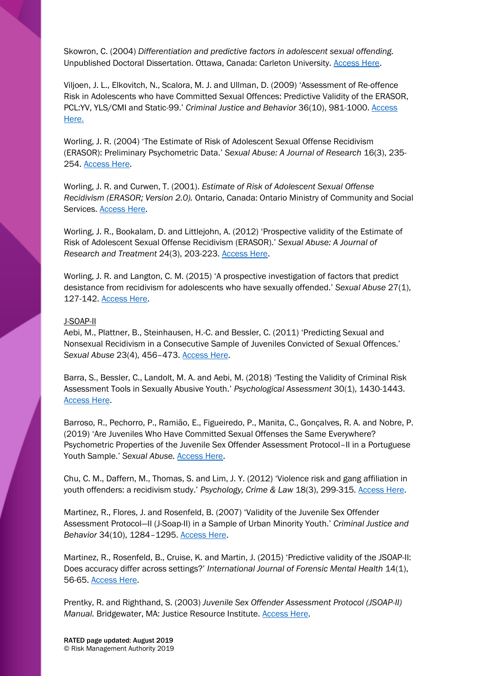Skowron, C. (2004) *Differentiation and predictive factors in adolescent sexual offending.*  Unpublished Doctoral Dissertation. Ottawa, Canada: Carleton University. [Access Here.](https://curve.carleton.ca/system/files/etd/05a3556b-c0f1-4d4a-84d9-6bb1100d0b4d/etd_pdf/8be7f25b4ca23283ab1134583a2dbcce/skowron-differentiationandpredictivefactorsinadolescent.pdf)

Viljoen, J. L., Elkovitch, N., Scalora, M. J. and Ullman, D. (2009) 'Assessment of Re-offence Risk in Adolescents who have Committed Sexual Offences: Predictive Validity of the ERASOR, PCL:YV, YLS/CMI and Static-99.' *Criminal Justice and Behavior* 36(10), 981-1000. [Access](https://journals.sagepub.com/doi/10.1177/0093854809340991)  [Here.](https://journals.sagepub.com/doi/10.1177/0093854809340991)

Worling, J. R. (2004) 'The Estimate of Risk of Adolescent Sexual Offense Recidivism (ERASOR): Preliminary Psychometric Data.' *Sexual Abuse: A Journal of Research* 16(3), 235- 254. [Access Here.](https://www.researchgate.net/publication/8385035_The_Estimate_of_Risk_of_Adolescent_Sexual_Offense_Recidivism_ERASOR_Preliminary_Psychometric_Data)

Worling, J. R. and Curwen, T. (2001). *Estimate of Risk of Adolescent Sexual Offense Recidivism (ERASOR; Version 2.0).* Ontario, Canada: Ontario Ministry of Community and Social Services. [Access Here.](https://djj.ky.gov/800%20Policy%20Manual/ERASOR%202.0.pdf)

Worling, J. R., Bookalam, D. and Littlejohn, A. (2012) 'Prospective validity of the Estimate of Risk of Adolescent Sexual Offense Recidivism (ERASOR).' *Sexual Abuse: A Journal of Research and Treatment* 24(3), 203-223. [Access Here.](https://journals.sagepub.com/doi/abs/10.1177/1079063211407080?journalCode=saxb)

Worling, J. R. and Langton, C. M. (2015) 'A prospective investigation of factors that predict desistance from recidivism for adolescents who have sexually offended.' *Sexual Abuse* 27(1), 127-142. [Access Here.](https://journals.sagepub.com/doi/pdf/10.1177/1079063214549260)

### J-SOAP-II

Aebi, M., Plattner, B., Steinhausen, H.-C. and Bessler, C. (2011) 'Predicting Sexual and Nonsexual Recidivism in a Consecutive Sample of Juveniles Convicted of Sexual Offences.' *Sexual Abuse* 23(4), 456–473. [Access Here.](https://journals.sagepub.com/doi/full/10.1177/1079063210384634?url_ver=Z39.88-2003&rfr_id=ori%3Arid%3Acrossref.org&rfr_dat=cr_pub%3Dpubmed)

Barra, S., Bessler, C., Landolt, M. A. and Aebi, M. (2018) 'Testing the Validity of Criminal Risk Assessment Tools in Sexually Abusive Youth.' *Psychological Assessment* 30(1), 1430-1443. [Access Here.](https://psycnet.apa.org/record/2018-24448-001)

Barroso, R., Pechorro, P., Ramião, E., Figueiredo, P., Manita, C., Gonçalves, R. A. and Nobre, P. (2019) 'Are Juveniles Who Have Committed Sexual Offenses the Same Everywhere? Psychometric Properties of the Juvenile Sex Offender Assessment Protocol–II in a Portuguese Youth Sample.' Sexual Abuse. **[Access Here.](https://journals.sagepub.com/doi/full/10.1177/1079063219858070)** 

Chu, C. M., Daffern, M., Thomas, S. and Lim, J. Y. (2012) 'Violence risk and gang affiliation in youth offenders: a recidivism study.' *Psychology, Crime & Law* 18(3), 299-315. [Access Here.](https://www.tandfonline.com/doi/abs/10.1080/1068316X.2010.481626)

Martinez, R., Flores, J. and Rosenfeld, B. (2007) 'Validity of the Juvenile Sex Offender Assessment Protocol—II (J-Soap-II) in a Sample of Urban Minority Youth.' *Criminal Justice and Behavior* 34(10), 1284–1295[. Access Here.](https://journals.sagepub.com/doi/10.1177/0093854807301791)

Martinez, R., Rosenfeld, B., Cruise, K. and Martin, J. (2015) 'Predictive validity of the JSOAP-II: Does accuracy differ across settings?' *International Journal of Forensic Mental Health* 14(1), 56-65. [Access Here.](https://www.tandfonline.com/doi/abs/10.1080/14999013.2015.1019683?journalCode=ufmh20)

Prentky, R. and Righthand, S. (2003) *Juvenile Sex Offender Assessment Protocol (JSOAP-II)*  Manual. Bridgewater, MA: Justice Resource Institute. **Access Here.**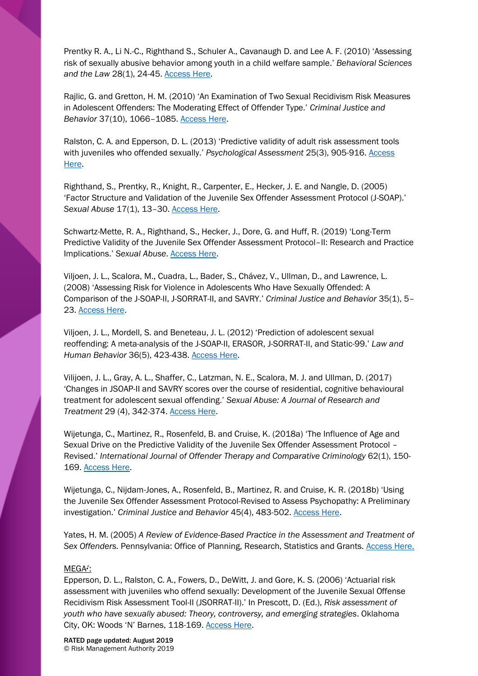Prentky R. A., Li N.-C., Righthand S., Schuler A., Cavanaugh D. and Lee A. F. (2010) 'Assessing risk of sexually abusive behavior among youth in a child welfare sample.' *Behavioral Sciences and the Law* 28(1), 24-45. [Access Here.](https://onlinelibrary.wiley.com/doi/abs/10.1002/bsl.920)

Rajlic, G. and Gretton, H. M. (2010) 'An Examination of Two Sexual Recidivism Risk Measures in Adolescent Offenders: The Moderating Effect of Offender Type.' *Criminal Justice and Behavior* 37(10), 1066–1085[. Access Here.](https://journals.sagepub.com/doi/10.1177/0093854810376354)

Ralston, C. A. and Epperson, D. L. (2013) 'Predictive validity of adult risk assessment tools with juveniles who offended sexually.' *Psychological Assessment* 25(3), 905-916. [Access](https://psycnet.apa.org/record/2013-15706-001)  [Here.](https://psycnet.apa.org/record/2013-15706-001)

Righthand, S., Prentky, R., Knight, R., Carpenter, E., Hecker, J. E. and Nangle, D. (2005) 'Factor Structure and Validation of the Juvenile Sex Offender Assessment Protocol (J-SOAP).' *Sexual Abuse* 17(1), 13–30. [Access Here.](https://journals.sagepub.com/doi/abs/10.1177/107906320501700103)

Schwartz-Mette, R. A., Righthand, S., Hecker, J., Dore, G. and Huff, R. (2019) 'Long-Term Predictive Validity of the Juvenile Sex Offender Assessment Protocol–II: Research and Practice Implications.' *Sexual Abuse*. [Access Here.](https://journals.sagepub.com/doi/abs/10.1177/1079063219825871?journalCode=saxb)

Viljoen, J. L., Scalora, M., Cuadra, L., Bader, S., Chávez, V., Ullman, D., and Lawrence, L. (2008) 'Assessing Risk for Violence in Adolescents Who Have Sexually Offended: A Comparison of the J-SOAP-II, J-SORRAT-II, and SAVRY.' *Criminal Justice and Behavior* 35(1), 5– 23. [Access Here.](https://journals.sagepub.com/doi/abs/10.1177/0093854807307521?journalCode=cjbb)

Viljoen, J. L., Mordell, S. and Beneteau, J. L. (2012) 'Prediction of adolescent sexual reoffending: A meta-analysis of the J-SOAP-II, ERASOR, J-SORRAT-II, and Static-99.' *Law and Human Behavior* 36(5), 423-438. [Access Here.](http://psycnet.apa.org/record/2012-04343-001)

Vilijoen, J. L., Gray, A. L., Shaffer, C., Latzman, N. E., Scalora, M. J. and Ullman, D. (2017) 'Changes in JSOAP-II and SAVRY scores over the course of residential, cognitive behavioural treatment for adolescent sexual offending.' *Sexual Abuse: A Journal of Research and Treatment* 29 (4), 342-374. [Access Here.](https://journals.sagepub.com/doi/full/10.1177/1079063215595404?url_ver=Z39.88-2003&rfr_id=ori%3Arid%3Acrossref.org&rfr_dat=cr_pub%3Dpubmed)

Wijetunga, C., Martinez, R., Rosenfeld, B. and Cruise, K. (2018a) 'The Influence of Age and Sexual Drive on the Predictive Validity of the Juvenile Sex Offender Assessment Protocol – Revised.' *International Journal of Offender Therapy and Comparative Criminology* 62(1), 150- 169. [Access Here.](https://journals.sagepub.com/doi/abs/10.1177/0306624X16650681?journalCode=ijoe)

Wijetunga, C., Nijdam-Jones, A., Rosenfeld, B., Martinez, R. and Cruise, K. R. (2018b) 'Using the Juvenile Sex Offender Assessment Protocol-Revised to Assess Psychopathy: A Preliminary investigation.' *Criminal Justice and Behavior* 45(4), 483-502. [Access Here.](https://journals.sagepub.com/doi/abs/10.1177/0093854817745912?journalCode=cjbb)

Yates, H. M. (2005) *A Review of Evidence-Based Practice in the Assessment and Treatment of Sex Offenders.* Pennsylvania: Office of Planning, Research, Statistics and Grants. [Access Here.](http://ilvoices.org/uploads/3/4/1/6/34164648/pa-recidivism.pdf)

### MEGA♪:

Epperson, D. L., Ralston, C. A., Fowers, D., DeWitt, J. and Gore, K. S. (2006) 'Actuarial risk assessment with juveniles who offend sexually: Development of the Juvenile Sexual Offense Recidivism Risk Assessment Tool-II (JSORRAT-II).' In Prescott, D. (Ed.), *Risk assessment of youth who have sexually abused: Theory, controversy, and emerging strategies*. Oklahoma City, OK: Woods 'N' Barnes, 118-169. [Access Here.](https://books.google.co.uk/books/about/Risk_Assessment_of_Youth_who_Have_Sexual.html?id=N0EzXPbAqcgC&printsec=frontcover&source=kp_read_button&redir_esc=y#v=onepage&q&f=false)

RATED page updated: August 2019 © Risk Management Authority 2019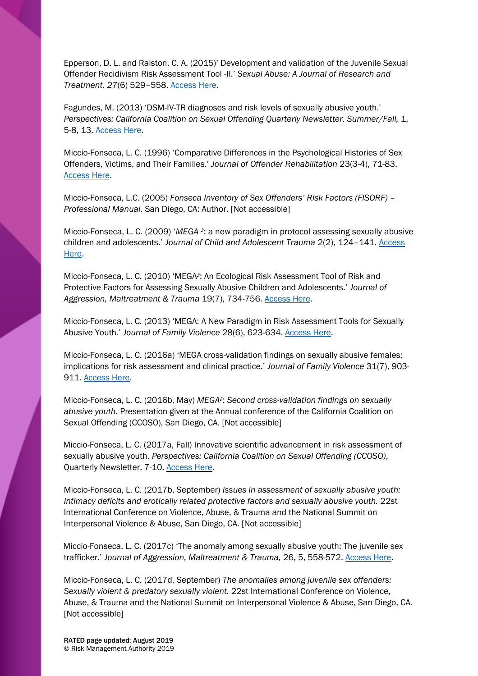Epperson, D. L. and Ralston, C. A. (2015)' Development and validation of the Juvenile Sexual Offender Recidivism Risk Assessment Tool -II.' *Sexual Abuse: A Journal of Research and Treatment, 27*(6) 529–558. [Access Here.](https://journals.sagepub.com/doi/abs/10.1177/1079063213514452)

Fagundes, M. (2013) 'DSM-IV-TR diagnoses and risk levels of sexually abusive youth.' *Perspectives: California Coalition on Sexual Offending Quarterly Newsletter, Summer/Fall, 1,* 5-8, 13. [Access Here.](https://ccoso.org/sites/default/files/2013%202%20Meghan%20Fagundes%2C%20MFT%20-%20DSM-IV-TR%20and%20Risk%20Levels%20of%20Sexually%20Abusive%20Youth%20FINAL%20-%20January%208%202014.pdf)

Miccio-Fonseca, L. C. (1996) 'Comparative Differences in the Psychological Histories of Sex Offenders, Victims, and Their Families.' *Journal of Offender Rehabilitation* 23(3-4), 71-83. [Access Here.](https://www.tandfonline.com/doi/abs/10.1300/J076v23n03_05)

Miccio-Fonseca, L.C. (2005) *Fonseca Inventory of Sex Offenders' Risk Factors (FISORF) – Professional Manual.* San Diego, CA: Author. [Not accessible]

Miccio-Fonseca, L. C. (2009) '*MEGA ♪*: a new paradigm in protocol assessing sexually abusive children and adolescents.' *Journal of Child and Adolescent Trauma* 2(2), 124–141. [Access](https://www.researchgate.net/profile/L_Miccio-Fonseca/publication/233259470_MEGA_A_New_Paradigm_in_Protocol_Assessing_Sexually_Abusive_Children_and_Adolescents/links/552fadc20cf2acd38cbc4edf/MEGA-A-New-Paradigm-in-Protocol-Assessing-Sexually-Abusive-Children-and-Adolescents.pdf?origin=publication_detail)  [Here.](https://www.researchgate.net/profile/L_Miccio-Fonseca/publication/233259470_MEGA_A_New_Paradigm_in_Protocol_Assessing_Sexually_Abusive_Children_and_Adolescents/links/552fadc20cf2acd38cbc4edf/MEGA-A-New-Paradigm-in-Protocol-Assessing-Sexually-Abusive-Children-and-Adolescents.pdf?origin=publication_detail)

Miccio-Fonseca, L. C. (2010) 'MEGA♪: An Ecological Risk Assessment Tool of Risk and Protective Factors for Assessing Sexually Abusive Children and Adolescents.' *Journal of Aggression, Maltreatment & Trauma* 19(7), 734-756. [Access Here.](https://www.tandfonline.com/doi/abs/10.1080/10926771.2010.515542)

Miccio-Fonseca, L. C. (2013) 'MEGA: A New Paradigm in Risk Assessment Tools for Sexually Abusive Youth.' *Journal of Family Violence* 28(6), 623-634[. Access Here.](https://link.springer.com/article/10.1007%2Fs10896-013-9527-8)

Miccio-Fonseca, L. C. (2016a) 'MEGA cross-validation findings on sexually abusive females: implications for risk assessment and clinical practice.' *Journal of Family Violence* 31(7), 903- 911. [Access Here.](https://www.researchgate.net/publication/307617014_MEGA_Cross-Validation_Findings_on_Sexually_Abusive_Females_Implications_for_Risk_Assessment_and_Clinical_Practice/download)

Miccio-Fonseca, L. C. (2016b, May) *MEGA♪*: *Second cross-validation findings on sexually abusive youth.* Presentation given at the Annual conference of the California Coalition on Sexual Offending (CCOSO), San Diego, CA. [Not accessible]

Miccio-Fonseca, L. C. (2017a, Fall) Innovative scientific advancement in risk assessment of sexually abusive youth. *Perspectives: California Coalition on Sexual Offending (CCOSO)*, Quarterly Newsletter, 7-10. [Access Here.](http://www.mega-miccio-fonseca.com/files/125570474.pdf)

Miccio-Fonseca, L. C. (2017b, September) *Issues in assessment of sexually abusive youth: Intimacy deficits and erotically related protective factors and sexually abusive youth.* 22st International Conference on Violence, Abuse, & Trauma and the National Summit on Interpersonal Violence & Abuse, San Diego, CA. [Not accessible]

Miccio-Fonseca, L. C. (2017c) 'The anomaly among sexually abusive youth: The juvenile sex trafficker.' *Journal of Aggression, Maltreatment & Trauma,* 26, 5, 558-572[. Access Here.](https://www.tandfonline.com/doi/abs/10.1080/10926771.2017.1304476?journalCode=wamt20)

Miccio-Fonseca, L. C. (2017d, September) *The anomalies among juvenile sex offenders: Sexually violent & predatory sexually violent.* 22st International Conference on Violence, Abuse, & Trauma and the National Summit on Interpersonal Violence & Abuse, San Diego, CA. [Not accessible]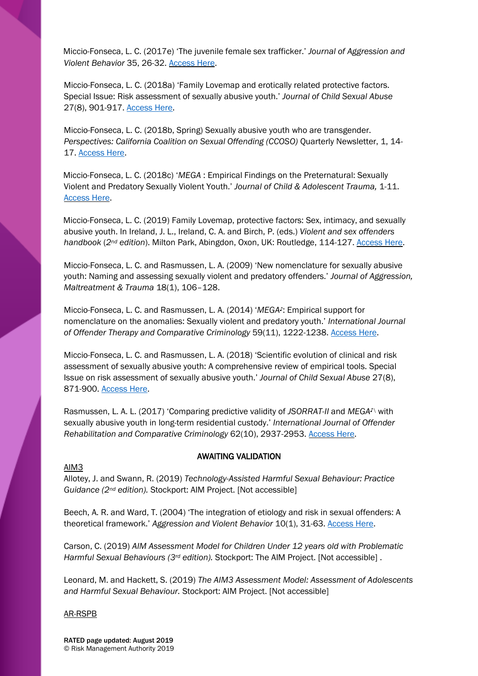Miccio-Fonseca, L. C. (2017e) 'The juvenile female sex trafficker.' *Journal of Aggression and Violent Behavior* 35, 26-32. [Access Here.](https://www.sciencedirect.com/science/article/pii/S1359178917301131)

Miccio-Fonseca, L. C. (2018a) 'Family Lovemap and erotically related protective factors. Special Issue: Risk assessment of sexually abusive youth.' *Journal of Child Sexual Abuse*  27(8), 901-917. [Access](https://www.tandfonline.com/doi/abs/10.1080/10538712.2018.1494655?journalCode=wcsa20) Here.

Miccio-Fonseca, L. C. (2018b, Spring) Sexually abusive youth who are transgender. *Perspectives: California Coalition on Sexual Offending (CCOSO)* Quarterly Newsletter, 1, 14- 17. [Access Here.](http://www.mega-miccio-fonseca.com/files/130272678.pdf)

Miccio-Fonseca, L. C. (2018c) '*MEGA* : Empirical Findings on the Preternatural: Sexually Violent and Predatory Sexually Violent Youth.' *Journal of Child & Adolescent Trauma,* 1-11. [Access Here.](https://link.springer.com/article/10.1007%2Fs40653-018-0242-8)

Miccio-Fonseca, L. C. (2019) Family Lovemap, protective factors: Sex, intimacy, and sexually abusive youth. In Ireland, J. L., Ireland, C. A. and Birch, P. (eds.) *Violent and sex offenders handbook* (*2nd edition*). Milton Park, Abingdon, Oxon, UK: Routledge, 114-127. [Access Here.](https://www.taylorfrancis.com/books/9781315310404/chapters/10.4324/9781315310411-15)

Miccio-Fonseca, L. C. and Rasmussen, L. A. (2009) 'New nomenclature for sexually abusive youth: Naming and assessing sexually violent and predatory offenders.' *Journal of Aggression, Maltreatment & Trauma* 18(1), 106–128.

Miccio-Fonseca, L. C. and Rasmussen, L. A. (2014) '*MEGA♪*: Empirical support for nomenclature on the anomalies: Sexually violent and predatory youth.' *International Journal of Offender Therapy and Comparative Criminology* 59(11), 1222-1238[. Access Here.](https://journals.sagepub.com/doi/abs/10.1177/0306624X14533265?journalCode=ijoe)

Miccio-Fonseca, L. C. and Rasmussen, L. A. (2018) 'Scientific evolution of clinical and risk assessment of sexually abusive youth: A comprehensive review of empirical tools. Special Issue on risk assessment of sexually abusive youth.' *Journal of Child Sexual Abuse* 27(8), 871-900. [Access Here.](https://www.tandfonline.com/doi/abs/10.1080/10538712.2018.1537337)

Rasmussen, L. A. L. (2017) 'Comparing predictive validity of *JSORRAT-II* and *MEGA♪\* with sexually abusive youth in long-term residential custody.' *International Journal of Offender Rehabilitation and Comparative Criminology* 62(10), 2937-2953. [Access Here.](https://journals.sagepub.com/doi/abs/10.1177/0306624X17726550?journalCode=ijoe)

### AIM3

# AWAITING VALIDATION

Allotey, J. and Swann, R. (2019) *Technology-Assisted Harmful Sexual Behaviour: Practice Guidance (2nd edition).* Stockport: AIM Project. [Not accessible]

Beech, A. R. and Ward, T. (2004) 'The integration of etiology and risk in sexual offenders: A theoretical framework.' *Aggression and Violent Behavior* 10(1), 31-63[. Access Here.](http://psycnet.apa.org/record/2004-19602-002)

Carson, C. (2019) *AIM Assessment Model for Children Under 12 years old with Problematic Harmful Sexual Behaviours (3rd edition).* Stockport: The AIM Project. [Not accessible] .

Leonard, M. and Hackett, S. (2019) *The AIM3 Assessment Model: Assessment of Adolescents and Harmful Sexual Behaviour.* Stockport: AIM Project. [Not accessible]

### AR-RSPB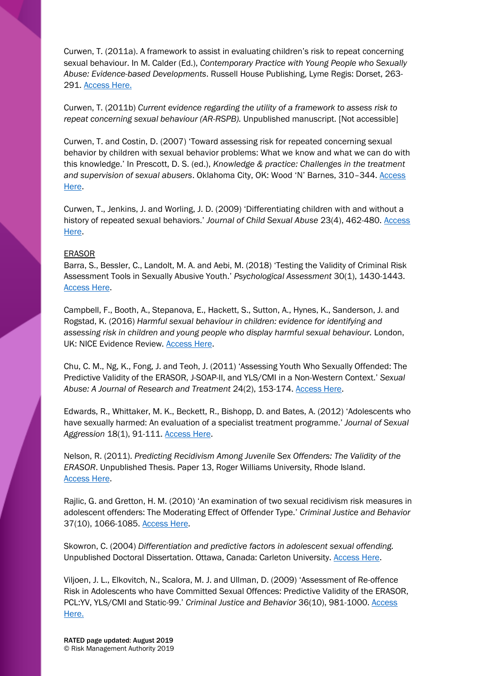Curwen, T. (2011a). A framework to assist in evaluating children's risk to repeat concerning sexual behaviour. In M. Calder (Ed.), *Contemporary Practice with Young People who Sexually Abuse: Evidence-based Developments*. Russell House Publishing, Lyme Regis: Dorset, 263- 291. [Access Here.](https://books.google.co.uk/books?id=4YHTygAACAAJ&dq=Contemporary+Practice+with+Young+People+who+Sexually+Abuse:+Evidence-based+Developments.&hl=en&sa=X&ved=0ahUKEwiy4rT5wtvfAhUSonEKHUD8BIAQ6AEIKDAA)

Curwen, T. (2011b) *Current evidence regarding the utility of a framework to assess risk to repeat concerning sexual behaviour (AR-RSPB).* Unpublished manuscript. [Not accessible]

Curwen, T. and Costin, D. (2007) 'Toward assessing risk for repeated concerning sexual behavior by children with sexual behavior problems: What we know and what we can do with this knowledge.' In Prescott, D. S. (ed.), *Knowledge & practice: Challenges in the treatment and supervision of sexual abusers*. Oklahoma City, OK: Wood 'N' Barnes, 310–344. [Access](https://books.google.co.uk/books/about/Knowledge_and_Practice.html?id=Q4SZAAAACAAJ&source=kp_book_description&redir_esc=y)  [Here.](https://books.google.co.uk/books/about/Knowledge_and_Practice.html?id=Q4SZAAAACAAJ&source=kp_book_description&redir_esc=y)

Curwen, T., Jenkins, J. and Worling, J. D. (2009) 'Differentiating children with and without a history of repeated sexual behaviors.' *Journal of Child Sexual Abuse* 23(4), 462-480. [Access](https://www.researchgate.net/publication/262269234_Differentiating_Children_with_and_without_a_History_of_Repeated_Problematic_Sexual_Behavior)  [Here.](https://www.researchgate.net/publication/262269234_Differentiating_Children_with_and_without_a_History_of_Repeated_Problematic_Sexual_Behavior)

# ERASOR

Barra, S., Bessler, C., Landolt, M. A. and Aebi, M. (2018) 'Testing the Validity of Criminal Risk Assessment Tools in Sexually Abusive Youth.' *Psychological Assessment* 30(1), 1430-1443. [Access Here.](https://psycnet.apa.org/record/2018-24448-001)

Campbell, F., Booth, A., Stepanova, E., Hackett, S., Sutton, A., Hynes, K., Sanderson, J. and Rogstad, K. (2016) *Harmful sexual behaviour in children: evidence for identifying and*  assessing risk in children and young people who display harmful sexual behaviour. London, UK: NICE Evidence Review. [Access Here.](https://www.nice.org.uk/guidance/ng55/documents/evidence-review-2)

Chu, C. M., Ng, K., Fong, J. and Teoh, J. (2011) 'Assessing Youth Who Sexually Offended: The Predictive Validity of the ERASOR, J-SOAP-II, and YLS/CMI in a Non-Western Context.' *Sexual Abuse: A Journal of Research and Treatment* 24(2), 153-174. [Access Here.](https://journals.sagepub.com/doi/10.1177/1079063211404250)

Edwards, R., Whittaker, M. K., Beckett, R., Bishopp, D. and Bates, A. (2012) 'Adolescents who have sexually harmed: An evaluation of a specialist treatment programme.' *Journal of Sexual Aggression* 18(1), 91-111. [Access Here.](https://www.tandfonline.com/doi/abs/10.1080/13552600.2011.635317)

Nelson, R. (2011). *Predicting Recidivism Among Juvenile Sex Offenders: The Validity of the ERASOR*. Unpublished Thesis. Paper 13, Roger Williams University, Rhode Island. [Access Here.](http://docs.rwu.edu/psych_thesis/13)

Rajlic, G. and Gretton, H. M. (2010) 'An examination of two sexual recidivism risk measures in adolescent offenders: The Moderating Effect of Offender Type.' *Criminal Justice and Behavior*  37(10), 1066-1085. [Access Here.](https://journals.sagepub.com/doi/10.1177/0093854810376354)

Skowron, C. (2004) *Differentiation and predictive factors in adolescent sexual offending.*  Unpublished Doctoral Dissertation. Ottawa, Canada: Carleton University. [Access Here.](https://curve.carleton.ca/system/files/etd/05a3556b-c0f1-4d4a-84d9-6bb1100d0b4d/etd_pdf/8be7f25b4ca23283ab1134583a2dbcce/skowron-differentiationandpredictivefactorsinadolescent.pdf)

Viljoen, J. L., Elkovitch, N., Scalora, M. J. and Ullman, D. (2009) 'Assessment of Re-offence Risk in Adolescents who have Committed Sexual Offences: Predictive Validity of the ERASOR, PCL:YV, YLS/CMI and Static-99.' *Criminal Justice and Behavior* 36(10), 981-1000. [Access](https://journals.sagepub.com/doi/10.1177/0093854809340991)  [Here.](https://journals.sagepub.com/doi/10.1177/0093854809340991)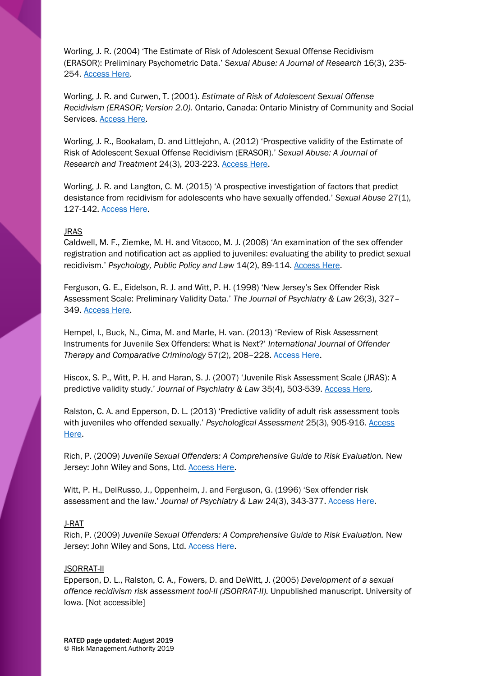Worling, J. R. (2004) 'The Estimate of Risk of Adolescent Sexual Offense Recidivism (ERASOR): Preliminary Psychometric Data.' *Sexual Abuse: A Journal of Research* 16(3), 235- 254. [Access Here.](https://www.researchgate.net/publication/8385035_The_Estimate_of_Risk_of_Adolescent_Sexual_Offense_Recidivism_ERASOR_Preliminary_Psychometric_Data)

Worling, J. R. and Curwen, T. (2001). *Estimate of Risk of Adolescent Sexual Offense Recidivism (ERASOR; Version 2.0).* Ontario, Canada: Ontario Ministry of Community and Social Services. [Access Here.](https://djj.ky.gov/800%20Policy%20Manual/ERASOR%202.0.pdf)

Worling, J. R., Bookalam, D. and Littlejohn, A. (2012) 'Prospective validity of the Estimate of Risk of Adolescent Sexual Offense Recidivism (ERASOR).' *Sexual Abuse: A Journal of Research and Treatment* 24(3), 203-223. [Access Here.](https://journals.sagepub.com/doi/abs/10.1177/1079063211407080?journalCode=saxb)

Worling, J. R. and Langton, C. M. (2015) 'A prospective investigation of factors that predict desistance from recidivism for adolescents who have sexually offended.' *Sexual Abuse* 27(1), 127-142. [Access Here.](https://journals.sagepub.com/doi/pdf/10.1177/1079063214549260)

### JRAS

Caldwell, M. F., Ziemke, M. H. and Vitacco, M. J. (2008) 'An examination of the sex offender registration and notification act as applied to juveniles: evaluating the ability to predict sexual recidivism.' *Psychology, Public Policy and Law* 14(2), 89-114. [Access Here.](https://www.ncjfcj.org/sites/default/files/examinationofthesexoffender.pdf)

Ferguson, G. E., Eidelson, R. J. and Witt, P. H. (1998) 'New Jersey's Sex Offender Risk Assessment Scale: Preliminary Validity Data.' *The Journal of Psychiatry & Law* 26(3), 327– 349. [Access Here.](https://journals.sagepub.com/doi/10.1177/009318539802600303)

Hempel, I., Buck, N., Cima, M. and Marle, H. van. (2013) 'Review of Risk Assessment Instruments for Juvenile Sex Offenders: What is Next?' *International Journal of Offender Therapy and Comparative Criminology* 57(2), 208–228[. Access Here.](https://www.researchgate.net/publication/51857880_Review_of_Risk_Assessment_Instruments_for_Juvenile_Sex_Offenders_What_is_Next)

Hiscox, S. P., Witt, P. H. and Haran, S. J. (2007) 'Juvenile Risk Assessment Scale (JRAS): A predictive validity study.' *Journal of Psychiatry & Law* 35(4), 503-539. [Access Here.](http://psycnet.apa.org/record/2008-07860-005)

Ralston, C. A. and Epperson, D. L. (2013) 'Predictive validity of adult risk assessment tools with juveniles who offended sexually.' *Psychological Assessment* 25(3), 905-916. [Access](https://psycnet.apa.org/record/2013-15706-001)  [Here.](https://psycnet.apa.org/record/2013-15706-001)

Rich, P. (2009) *Juvenile Sexual Offenders: A Comprehensive Guide to Risk Evaluation.* New Jersey: John Wiley and Sons, Ltd. **Access Here.** 

Witt, P. H., DelRusso, J., Oppenheim, J. and Ferguson, G. (1996) 'Sex offender risk assessment and the law.' *Journal of Psychiatry & Law* 24(3), 343-377[. Access Here.](http://psycnet.apa.org/record/1997-03629-001)

### J-RAT

Rich, P. (2009) *Juvenile Sexual Offenders: A Comprehensive Guide to Risk Evaluation.* New Jersey: John Wiley and Sons, Ltd. **Access Here.** 

### JSORRAT-II

Epperson, D. L., Ralston, C. A., Fowers, D. and DeWitt, J. (2005) *Development of a sexual offence recidivism risk assessment tool-II (JSORRAT-II).* Unpublished manuscript. University of Iowa. [Not accessible]